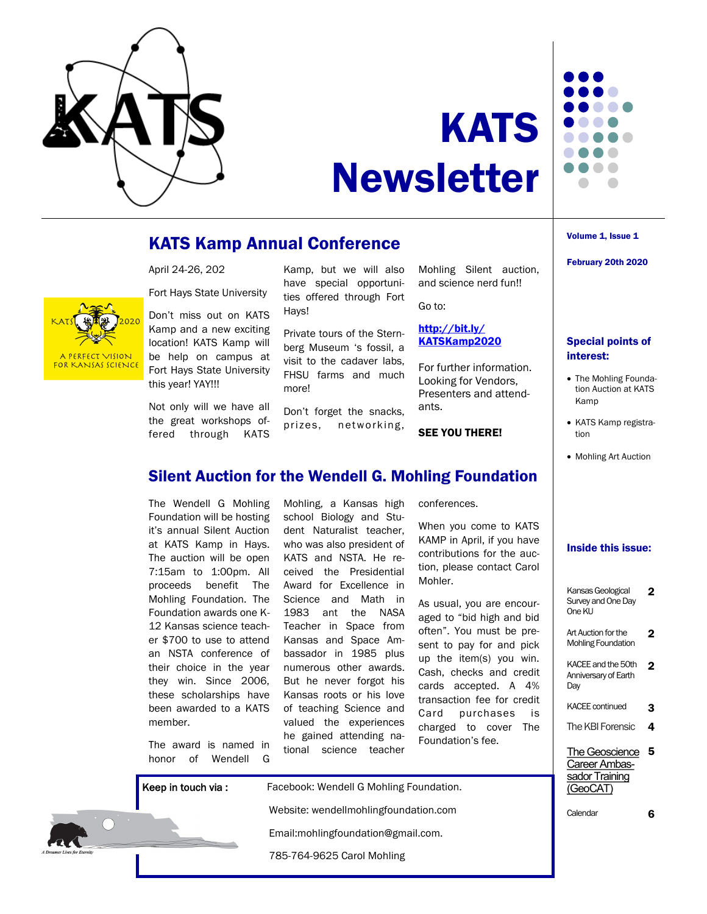

PERFECT VISION FOR KANSAS SCIENCE



# Newsletter

# KATS Kamp Annual Conference

April 24-26, 202

Fort Hays State University

Don't miss out on KATS Kamp and a new exciting location! KATS Kamp will be help on campus at Fort Hays State University this year! YAY!!!

Not only will we have all the great workshops offered through KATS

Kamp, but we will also have special opportunities offered through Fort Hays!

Private tours of the Sternberg Museum 's fossil, a visit to the cadaver labs, FHSU farms and much more!

Don't forget the snacks, prizes, networking, Mohling Silent auction, and science nerd fun!!

Go to:

#### [http://bit.ly/](http://bit.ly/KATSKamp2020) [KATSKamp2020](http://bit.ly/KATSKamp2020)

For further information. Looking for Vendors, Presenters and attendants.

### SEE YOU THERE!

## Volume 1, Issue 1

February 20th 2020

## Special points of interest:

- The Mohling Foundation Auction at KATS Kamp
- KATS Kamp registration
- Mohling Art Auction

## Silent Auction for the Wendell G. Mohling Foundation

The Wendell G Mohling Foundation will be hosting it's annual Silent Auction at KATS Kamp in Hays. The auction will be open 7:15am to 1:00pm. All proceeds benefit The Mohling Foundation. The Foundation awards one K-12 Kansas science teacher \$700 to use to attend an NSTA conference of their choice in the year they win. Since 2006, these scholarships have been awarded to a KATS member.

The award is named in honor of Wendell G Mohling, a Kansas high school Biology and Student Naturalist teacher, who was also president of KATS and NSTA. He received the Presidential Award for Excellence in Science and Math in 1983 ant the NASA Teacher in Space from Kansas and Space Ambassador in 1985 plus numerous other awards. But he never forgot his Kansas roots or his love of teaching Science and valued the experiences he gained attending national science teacher

conferences.

When you come to KATS KAMP in April, if you have contributions for the auction, please contact Carol Mohler.

As usual, you are encouraged to "bid high and bid often". You must be present to pay for and pick up the item(s) you win. Cash, checks and credit cards accepted. A 4% transaction fee for credit Card purchases is charged to cover The Foundation's fee.

## Inside this issue:

| Kansas Geological<br>Survey and One Day<br>One KU             | 7 |
|---------------------------------------------------------------|---|
| Art Auction for the<br><b>Mohling Foundation</b>              | 2 |
| KACEE and the 50th<br>Anniversary of Earth<br>Day             | 2 |
| <b>KACEE</b> continued                                        | 3 |
| The KBI Forensic                                              | 4 |
| The Geoscience<br>Career Ambas-<br>sador Training<br>(GeoCAT) | 5 |
| Calendar                                                      |   |



Keep in touch via : Facebook: Wendell G Mohling Foundation. Website: wendellmohlingfoundation.com Email:mohlingfoundation@gmail.com. 785-764-9625 Carol Mohling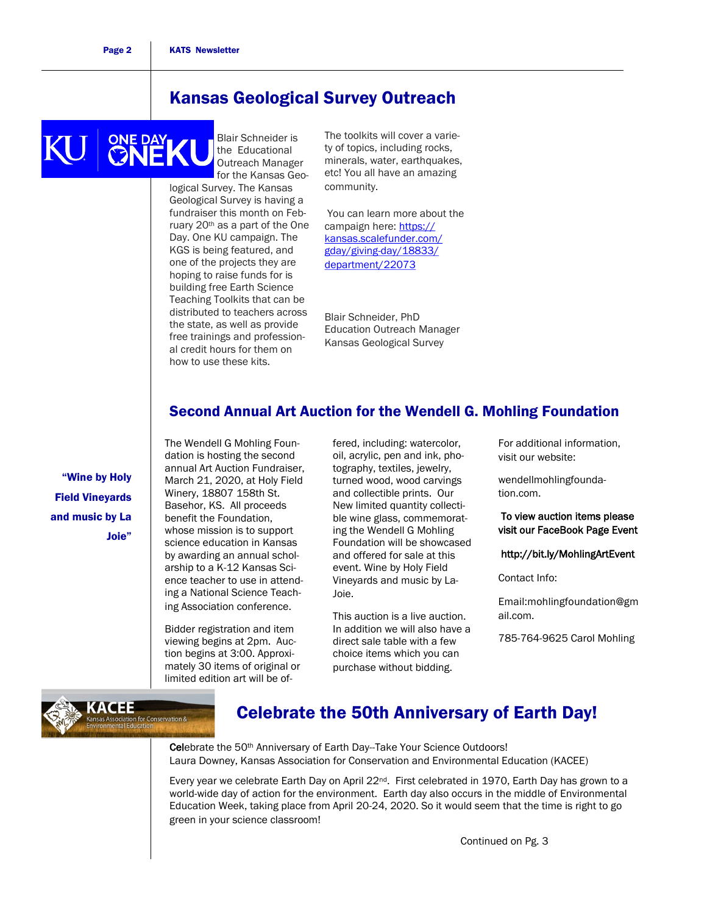# Kansas Geological Survey Outreach

Blair Schneider is CNERY the Educational Outreach Manager for the Kansas Geological Survey. The Kansas Geological Survey is having a fundraiser this month on February 20th as a part of the One Day. One KU campaign. The KGS is being featured, and one of the projects they are hoping to raise funds for is building free Earth Science Teaching Toolkits that can be distributed to teachers across the state, as well as provide free trainings and professional credit hours for them on how to use these kits.

The toolkits will cover a variety of topics, including rocks, minerals, water, earthquakes, etc! You all have an amazing community.

You can learn more about the campaign here: [https://](https://kansas.scalefunder.com/gday/giving-day/18833/department/22073) [kansas.scalefunder.com/](https://kansas.scalefunder.com/gday/giving-day/18833/department/22073) [gday/giving-day/18833/](https://kansas.scalefunder.com/gday/giving-day/18833/department/22073) [department/22073](https://kansas.scalefunder.com/gday/giving-day/18833/department/22073)

Blair Schneider, PhD Education Outreach Manager Kansas Geological Survey

## Second Annual Art Auction for the Wendell G. Mohling Foundation

"Wine by Holy Field Vineyards and music by La Joie"

**KACEE** 

dation is hosting the second annual Art Auction Fundraiser, March 21, 2020, at Holy Field Winery, 18807 158th St. Basehor, KS. All proceeds benefit the Foundation, whose mission is to support science education in Kansas by awarding an annual scholarship to a K-12 Kansas Science teacher to use in attending a National Science Teaching Association conference.

The Wendell G Mohling Foun-

Bidder registration and item viewing begins at 2pm. Auction begins at 3:00. Approximately 30 items of original or limited edition art will be offered, including: watercolor, oil, acrylic, pen and ink, photography, textiles, jewelry, turned wood, wood carvings and collectible prints. Our New limited quantity collectible wine glass, commemorating the Wendell G Mohling Foundation will be showcased and offered for sale at this event. Wine by Holy Field Vineyards and music by La-Joie.

This auction is a live auction. In addition we will also have a direct sale table with a few choice items which you can purchase without bidding.

For additional information, visit our website:

wendellmohlingfoundation.com.

To view auction items please visit our FaceBook Page Event

http://bit.ly/MohlingArtEvent

Contact Info:

Email:mohlingfoundation@gm ail.com.

785-764-9625 Carol Mohling

# Celebrate the 50th Anniversary of Earth Day!

Celebrate the 50<sup>th</sup> Anniversary of Earth Day-Take Your Science Outdoors! Laura Downey, Kansas Association for Conservation and Environmental Education (KACEE)

Every year we celebrate Earth Day on April 22<sup>nd</sup>. First celebrated in 1970, Earth Day has grown to a world-wide day of action for the environment. Earth day also occurs in the middle of Environmental Education Week, taking place from April 20-24, 2020. So it would seem that the time is right to go green in your science classroom!

Continued on Pg. 3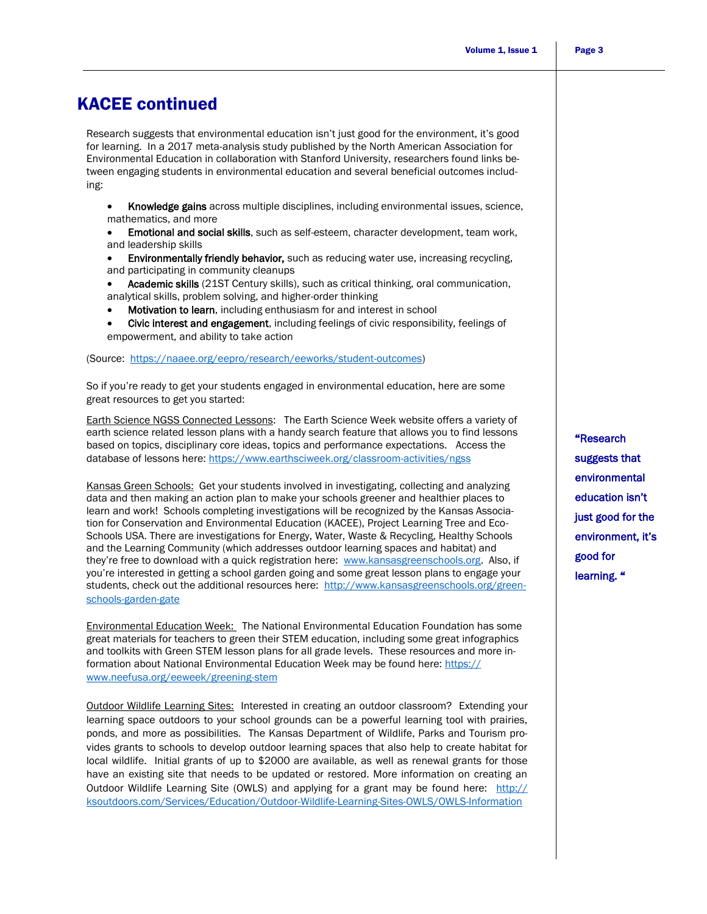# KACEE continued

Research suggests that environmental education isn't just good for the environment, it's good for learning. In a 2017 meta-analysis study published by the North American Association for Environmental Education in collaboration with Stanford University, researchers found links between engaging students in environmental education and several beneficial outcomes including:

- Knowledge gains across multiple disciplines, including environmental issues, science, mathematics, and more
- Emotional and social skills, such as self-esteem, character development, team work, and leadership skills
- Environmentally friendly behavior, such as reducing water use, increasing recycling, and participating in community cleanups
- Academic skills (21ST Century skills), such as critical thinking, oral communication, analytical skills, problem solving, and higher-order thinking
- Motivation to learn, including enthusiasm for and interest in school
- Civic interest and engagement, including feelings of civic responsibility, feelings of empowerment, and ability to take action

(Source: [https://naaee.org/eepro/research/eeworks/student-outcomes\)](https://naaee.org/eepro/research/eeworks/student-outcomes)

So if you're ready to get your students engaged in environmental education, here are some great resources to get you started:

Earth Science NGSS Connected Lessons: The Earth Science Week website offers a variety of earth science related lesson plans with a handy search feature that allows you to find lessons based on topics, disciplinary core ideas, topics and performance expectations. Access the database of lessons here: <https://www.earthsciweek.org/classroom-activities/ngss>

Kansas Green Schools: Get your students involved in investigating, collecting and analyzing data and then making an action plan to make your schools greener and healthier places to learn and work! Schools completing investigations will be recognized by the Kansas Association for Conservation and Environmental Education (KACEE), Project Learning Tree and Eco-Schools USA. There are investigations for Energy, Water, Waste & Recycling, Healthy Schools and the Learning Community (which addresses outdoor learning spaces and habitat) and they're free to download with a quick registration here: [www.kansasgreenschools.org.](http://www.kansasgreenschools.org) Also, if you're interested in getting a school garden going and some great lesson plans to engage your students, check out the additional resources here: [http://www.kansasgreenschools.org/green](http://www.kansasgreenschools.org/green-schools-garden-gate)[schools-garden-gate](http://www.kansasgreenschools.org/green-schools-garden-gate)

Environmental Education Week: The National Environmental Education Foundation has some great materials for teachers to green their STEM education, including some great infographics and toolkits with Green STEM lesson plans for all grade levels. These resources and more information about National Environmental Education Week may be found here: [https://](https://www.neefusa.org/eeweek/greening-stem) [www.neefusa.org/eeweek/greening-stem](https://www.neefusa.org/eeweek/greening-stem) 

Outdoor Wildlife Learning Sites: Interested in creating an outdoor classroom? Extending your learning space outdoors to your school grounds can be a powerful learning tool with prairies, ponds, and more as possibilities. The Kansas Department of Wildlife, Parks and Tourism provides grants to schools to develop outdoor learning spaces that also help to create habitat for local wildlife. Initial grants of up to \$2000 are available, as well as renewal grants for those have an existing site that needs to be updated or restored. More information on creating an Outdoor Wildlife Learning Site (OWLS) and applying for a grant may be found here: [http://](http://ksoutdoors.com/Services/Education/Outdoor-Wildlife-Learning-Sites-OWLS/OWLS-Information) [ksoutdoors.com/Services/Education/Outdoor-Wildlife-Learning-Sites-OWLS/OWLS-Information](http://ksoutdoors.com/Services/Education/Outdoor-Wildlife-Learning-Sites-OWLS/OWLS-Information)

"Research suggests that environmental education isn't just good for the environment, it's good for learning. "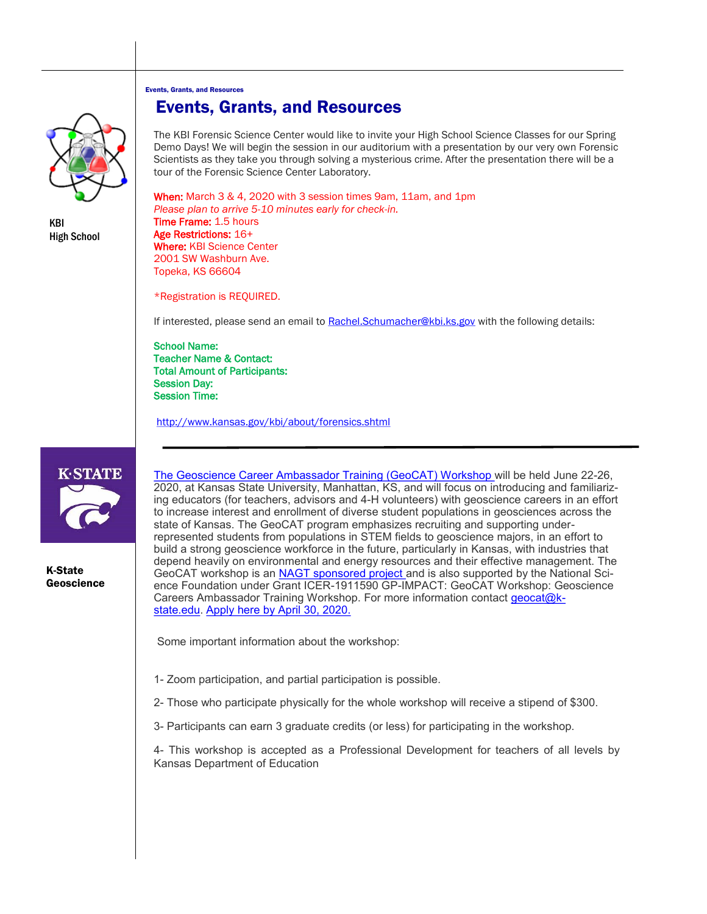Events, Grants, and Resources



KBI High School

# Events, Grants, and Resources

The KBI Forensic Science Center would like to invite your High School Science Classes for our Spring Demo Days! We will begin the session in our auditorium with a presentation by our very own Forensic Scientists as they take you through solving a mysterious crime. After the presentation there will be a tour of the Forensic Science Center Laboratory.

When: March 3 & 4, 2020 with 3 session times 9am, 11am, and 1pm *Please plan to arrive 5-10 minutes early for check-in.* Time Frame: 1.5 hours Age Restrictions: 16+ Where: KBI Science Center 2001 SW Washburn Ave. Topeka, KS 66604

\*Registration is REQUIRED.

If interested, please send an email to [Rachel.Schumacher@kbi.ks.gov](mailto:Rachel.Schumacher@kbi.ks.gov) with the following details:

School Name: Teacher Name & Contact: Total Amount of Participants: Session Day: Session Time:

<http://www.kansas.gov/kbi/about/forensics.shtml>



K-State Geoscience [The Geoscience Career Ambassador Training \(GeoCAT\) Workshop](https://www.k-state.edu/geocat/) will be held June 22-26, 2020, at Kansas State University, Manhattan, KS, and will focus on introducing and familiarizing educators (for teachers, advisors and 4-H volunteers) with geoscience careers in an effort to increase interest and enrollment of diverse student populations in geosciences across the state of Kansas. The GeoCAT program emphasizes recruiting and supporting underrepresented students from populations in STEM fields to geoscience majors, in an effort to build a strong geoscience workforce in the future, particularly in Kansas, with industries that depend heavily on environmental and energy resources and their effective management. The GeoCAT workshop is an **NAGT** sponsored project and is also supported by the National Science Foundation under Grant ICER-1911590 GP-IMPACT: GeoCAT Workshop: Geoscience Careers Ambassador Training Workshop. For more information contact [geocat@k](mailto:geocat@k-state.edu)[state.edu.](mailto:geocat@k-state.edu) [Apply here by April 30, 2020.](https://kstate.qualtrics.com/jfe/form/SV_2oBrXsi4mCSkGfb)

Some important information about the workshop:

- 1- Zoom participation, and partial participation is possible.
- 2- Those who participate physically for the whole workshop will receive a stipend of \$300.
- 3- Participants can earn 3 graduate credits (or less) for participating in the workshop.

4- This workshop is accepted as a Professional Development for teachers of all levels by Kansas Department of Education